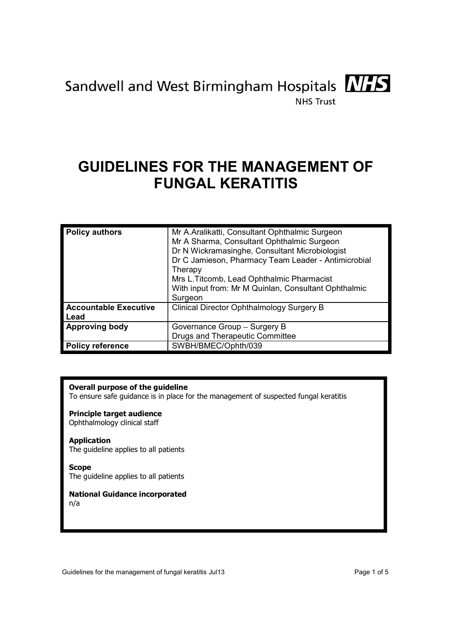

# GUIDELINES FOR THE MANAGEMENT OF FUNGAL KERATITIS

| <b>Policy authors</b>         | Mr A.Aralikatti, Consultant Ophthalmic Surgeon<br>Mr A Sharma, Consultant Ophthalmic Surgeon<br>Dr N Wickramasinghe, Consultant Microbiologist<br>Dr C Jamieson, Pharmacy Team Leader - Antimicrobial<br>Therapy<br>Mrs L. Titcomb, Lead Ophthalmic Pharmacist<br>With input from: Mr M Quinlan, Consultant Ophthalmic |  |
|-------------------------------|------------------------------------------------------------------------------------------------------------------------------------------------------------------------------------------------------------------------------------------------------------------------------------------------------------------------|--|
| Accountable Executive<br>Lead | Surgeon<br>Clinical Director Ophthalmology Surgery B                                                                                                                                                                                                                                                                   |  |
| <b>Approving body</b>         | Governance Group - Surgery B<br><b>Drugs and Therapeutic Committee</b>                                                                                                                                                                                                                                                 |  |
| <b>Policy reference</b>       | SWBH/BMEC/Ophth/039                                                                                                                                                                                                                                                                                                    |  |

# Overall purpose of the guideline

To ensure safe guidance is in place for the management of suspected fungal keratitis

# Principle target audience

Ophthalmology clinical staff

#### Application

The guideline applies to all patients

#### Scope

The guideline applies to all patients

# National Guidance incorporated

n/a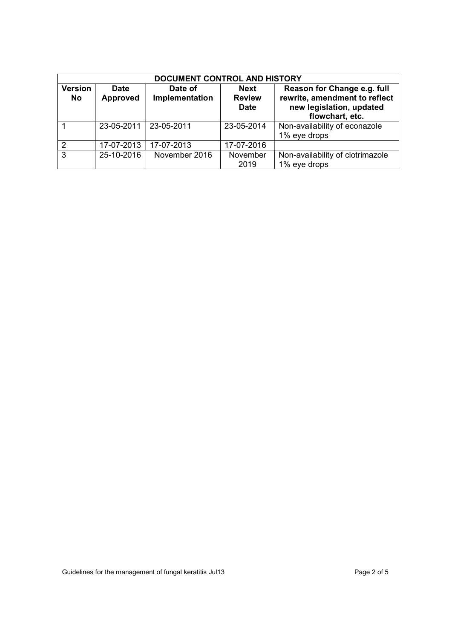| DOCUMENT CONTROL AND HISTORY |                                |                           |                                      |                                                                                                             |  |
|------------------------------|--------------------------------|---------------------------|--------------------------------------|-------------------------------------------------------------------------------------------------------------|--|
| <b>Version</b><br>No         | <b>Date</b><br><b>Approved</b> | Date of<br>Implementation | Next<br><b>Review</b><br><b>Date</b> | Reason for Change e.g. full<br>rewrite, amendment to reflect<br>new legislation, updated<br>flowchart, etc. |  |
|                              | 23-05-2011                     | 23-05-2011                | 23-05-2014                           | Non-availability of econazole<br>1% eye drops                                                               |  |
| っ                            | 17-07-2013                     | 17-07-2013                | 17-07-2016                           |                                                                                                             |  |
| 3                            | 25-10-2016                     | November 2016             | November<br>2019                     | Non-availability of clotrimazole<br>1% eye drops                                                            |  |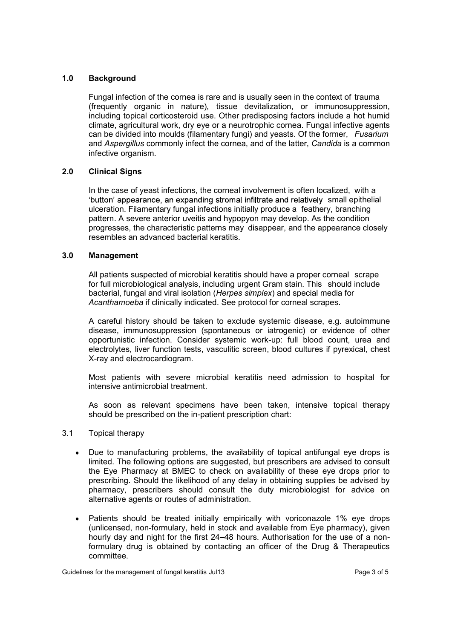# 1.0 Background

 Fungal infection of the cornea is rare and is usually seen in the context of trauma (frequently organic in nature), tissue devitalization, or immunosuppression, including topical corticosteroid use. Other predisposing factors include a hot humid climate, agricultural work, dry eye or a neurotrophic cornea. Fungal infective agents can be divided into moulds (filamentary fungi) and yeasts. Of the former, Fusarium and Aspergillus commonly infect the cornea, and of the latter, Candida is a common infective organism. **Background**<br> **Fungal** infection of the cornea is rare and is usually seen in the context of trauma<br>
(frequently organic in nature), tissue devitalization, or immunosuppression,<br>
including topical corticosteroid use. Other

### 2.0 Clinical Signs

'button' appearance, an expanding stromal infiltrate and relatively small epithelial ulceration. Filamentary fungal infections initially produce a feathery, branching pattern. A severe anterior uveitis and hypopyon may develop. As the condition progresses, the characteristic patterns may disappear, and the appearance closely resembles an advanced bacterial keratitis.

#### 3.0 Management

 All patients suspected of microbial keratitis should have a proper corneal scrape for full microbiological analysis, including urgent Gram stain. This should include bacterial, fungal and viral isolation (Herpes simplex) and special media for Acanthamoeba if clinically indicated. See protocol for corneal scrapes.

A careful history should be taken to exclude systemic disease, e.g. autoimmune disease, immunosuppression (spontaneous or iatrogenic) or evidence of other opportunistic infection. Consider systemic work-up: full blood count, urea and electrolytes, liver function tests, vasculitic screen, blood cultures if pyrexical, chest X-ray and electrocardiogram.

 Most patients with severe microbial keratitis need admission to hospital for intensive antimicrobial treatment.

 As soon as relevant specimens have been taken, intensive topical therapy should be prescribed on the in-patient prescription chart:

#### 3.1 Topical therapy

- Due to manufacturing problems, the availability of topical antifungal eye drops is limited. The following options are suggested, but prescribers are advised to consult the Eye Pharmacy at BMEC to check on availability of these eye drops prior to prescribing. Should the likelihood of any delay in obtaining supplies be advised by pharmacy, prescribers should consult the duty microbiologist for advice on alternative agents or routes of administration.
- Patients should be treated initially empirically with voriconazole 1% eye drops (unlicensed, non-formulary, held in stock and available from Eye pharmacy), given hourly day and night for the first 24-48 hours. Authorisation for the use of a nonformulary drug is obtained by contacting an officer of the Drug & Therapeutics committee.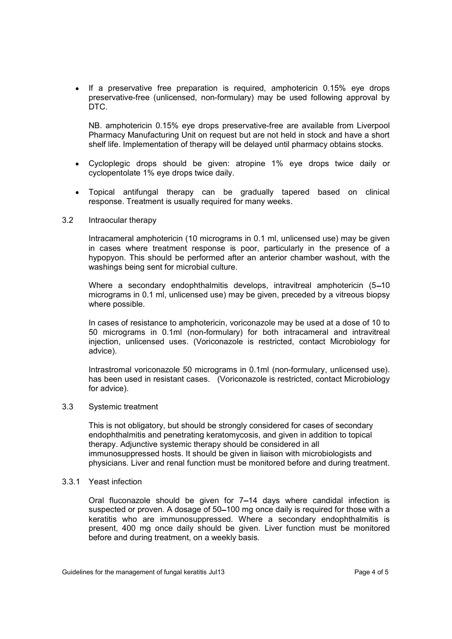• If a preservative free preparation is required, amphotericin 0.15% eye drops preservative-free (unlicensed, non-formulary) may be used following approval by DTC.

NB. amphotericin 0.15% eye drops preservative-free are available from Liverpool Pharmacy Manufacturing Unit on request but are not held in stock and have a short shelf life. Implementation of therapy will be delayed until pharmacy obtains stocks.

- Cycloplegic drops should be given: atropine 1% eye drops twice daily or cyclopentolate 1% eye drops twice daily.
- Topical antifungal therapy can be gradually tapered based on clinical response. Treatment is usually required for many weeks.

#### 3.2 Intraocular therapy

Intracameral amphotericin (10 micrograms in 0.1 ml, unlicensed use) may be given in cases where treatment response is poor, particularly in the presence of a hypopyon. This should be performed after an anterior chamber washout, with the washings being sent for microbial culture.

Where a secondary endophthalmitis develops, intravitreal amphotericin (5–10) micrograms in 0.1 ml, unlicensed use) may be given, preceded by a vitreous biopsy where possible.

 In cases of resistance to amphotericin, voriconazole may be used at a dose of 10 to 50 micrograms in 0.1ml (non-formulary) for both intracameral and intravitreal injection, unlicensed uses. (Voriconazole is restricted, contact Microbiology for advice).

Intrastromal voriconazole 50 micrograms in 0.1ml (non-formulary, unlicensed use). has been used in resistant cases. (Voriconazole is restricted, contact Microbiology for advice).

#### 3.3 Systemic treatment

 This is not obligatory, but should be strongly considered for cases of secondary endophthalmitis and penetrating keratomycosis, and given in addition to topical therapy. Adjunctive systemic therapy should be considered in all immunosuppressed hosts. It should be given in liaison with microbiologists and physicians. Liver and renal function must be monitored before and during treatment.

# 3.3.1 Yeast infection

Oral fluconazole should be given for  $7-14$  days where candidal infection is suspected or proven. A dosage of 50–100 mg once daily is required for those with a keratitis who are immunosuppressed. Where a secondary endophthalmitis is present, 400 mg once daily should be given. Liver function must be monitored before and during treatment, on a weekly basis.